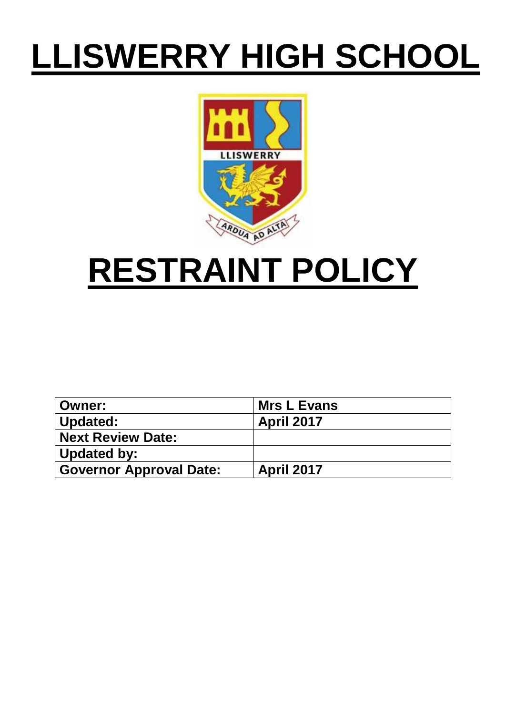# **LLISWERRY HIGH SCHOOL**



# **RESTRAINT POLICY**

| ∣ Owner:                       | <b>Mrs L Evans</b> |
|--------------------------------|--------------------|
| Updated:                       | <b>April 2017</b>  |
| <b>Next Review Date:</b>       |                    |
| Updated by:                    |                    |
| <b>Governor Approval Date:</b> | <b>April 2017</b>  |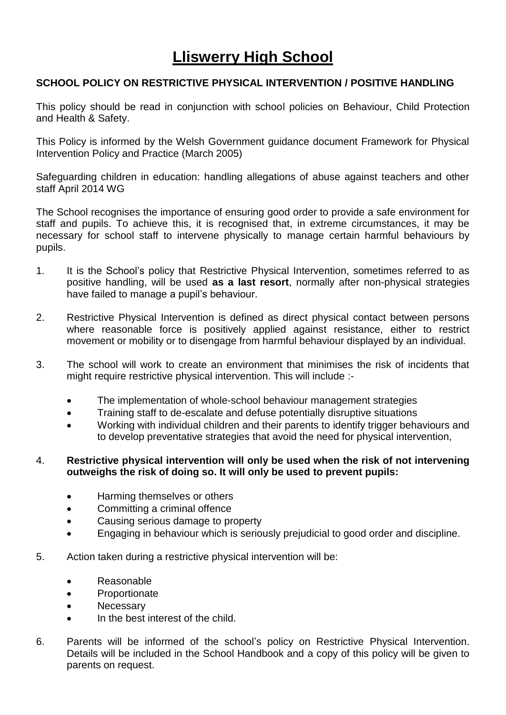## **Lliswerry High School**

#### **SCHOOL POLICY ON RESTRICTIVE PHYSICAL INTERVENTION / POSITIVE HANDLING**

This policy should be read in conjunction with school policies on Behaviour, Child Protection and Health & Safety.

This Policy is informed by the Welsh Government guidance document Framework for Physical Intervention Policy and Practice (March 2005)

Safeguarding children in education: handling allegations of abuse against teachers and other staff April 2014 WG

The School recognises the importance of ensuring good order to provide a safe environment for staff and pupils. To achieve this, it is recognised that, in extreme circumstances, it may be necessary for school staff to intervene physically to manage certain harmful behaviours by pupils.

- 1. It is the School's policy that Restrictive Physical Intervention, sometimes referred to as positive handling, will be used **as a last resort**, normally after non-physical strategies have failed to manage a pupil's behaviour.
- 2. Restrictive Physical Intervention is defined as direct physical contact between persons where reasonable force is positively applied against resistance, either to restrict movement or mobility or to disengage from harmful behaviour displayed by an individual.
- 3. The school will work to create an environment that minimises the risk of incidents that might require restrictive physical intervention. This will include :-
	- The implementation of whole-school behaviour management strategies
	- Training staff to de-escalate and defuse potentially disruptive situations
	- Working with individual children and their parents to identify trigger behaviours and to develop preventative strategies that avoid the need for physical intervention,

#### 4. **Restrictive physical intervention will only be used when the risk of not intervening outweighs the risk of doing so. It will only be used to prevent pupils:**

- Harming themselves or others
- Committing a criminal offence
- Causing serious damage to property
- Engaging in behaviour which is seriously prejudicial to good order and discipline.
- 5. Action taken during a restrictive physical intervention will be:
	- Reasonable
	- Proportionate
	- Necessary
	- In the best interest of the child.
- 6. Parents will be informed of the school's policy on Restrictive Physical Intervention. Details will be included in the School Handbook and a copy of this policy will be given to parents on request.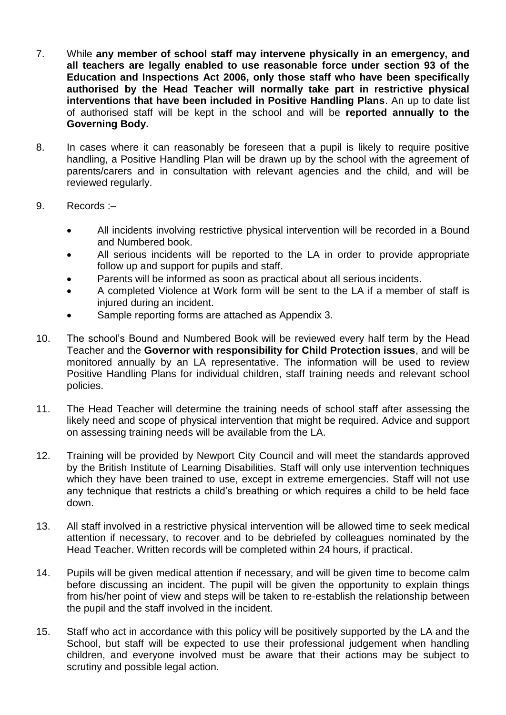- 7. While **any member of school staff may intervene physically in an emergency, and all teachers are legally enabled to use reasonable force under section 93 of the Education and Inspections Act 2006, only those staff who have been specifically authorised by the Head Teacher will normally take part in restrictive physical interventions that have been included in Positive Handling Plans**. An up to date list of authorised staff will be kept in the school and will be **reported annually to the Governing Body.**
- 8. In cases where it can reasonably be foreseen that a pupil is likely to require positive handling, a Positive Handling Plan will be drawn up by the school with the agreement of parents/carers and in consultation with relevant agencies and the child, and will be reviewed regularly.
- 9. Records :–
	- All incidents involving restrictive physical intervention will be recorded in a Bound and Numbered book.
	- All serious incidents will be reported to the LA in order to provide appropriate follow up and support for pupils and staff.
	- Parents will be informed as soon as practical about all serious incidents.
	- A completed Violence at Work form will be sent to the LA if a member of staff is injured during an incident.
	- Sample reporting forms are attached as Appendix 3.
- 10. The school's Bound and Numbered Book will be reviewed every half term by the Head Teacher and the **Governor with responsibility for Child Protection issues**, and will be monitored annually by an LA representative. The information will be used to review Positive Handling Plans for individual children, staff training needs and relevant school policies.
- 11. The Head Teacher will determine the training needs of school staff after assessing the likely need and scope of physical intervention that might be required. Advice and support on assessing training needs will be available from the LA.
- 12. Training will be provided by Newport City Council and will meet the standards approved by the British Institute of Learning Disabilities. Staff will only use intervention techniques which they have been trained to use, except in extreme emergencies. Staff will not use any technique that restricts a child's breathing or which requires a child to be held face down.
- 13. All staff involved in a restrictive physical intervention will be allowed time to seek medical attention if necessary, to recover and to be debriefed by colleagues nominated by the Head Teacher. Written records will be completed within 24 hours, if practical.
- 14. Pupils will be given medical attention if necessary, and will be given time to become calm before discussing an incident. The pupil will be given the opportunity to explain things from his/her point of view and steps will be taken to re-establish the relationship between the pupil and the staff involved in the incident.
- 15. Staff who act in accordance with this policy will be positively supported by the LA and the School, but staff will be expected to use their professional judgement when handling children, and everyone involved must be aware that their actions may be subject to scrutiny and possible legal action.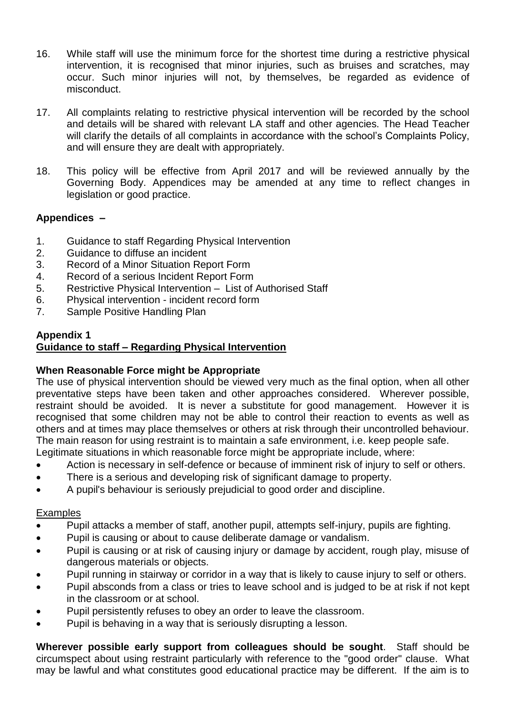- 16. While staff will use the minimum force for the shortest time during a restrictive physical intervention, it is recognised that minor injuries, such as bruises and scratches, may occur. Such minor injuries will not, by themselves, be regarded as evidence of misconduct.
- 17. All complaints relating to restrictive physical intervention will be recorded by the school and details will be shared with relevant LA staff and other agencies. The Head Teacher will clarify the details of all complaints in accordance with the school's Complaints Policy, and will ensure they are dealt with appropriately.
- 18. This policy will be effective from April 2017 and will be reviewed annually by the Governing Body. Appendices may be amended at any time to reflect changes in legislation or good practice.

#### **Appendices –**

- 1. Guidance to staff Regarding Physical Intervention
- 2. Guidance to diffuse an incident
- 3. Record of a Minor Situation Report Form
- 4. Record of a serious Incident Report Form
- 5. Restrictive Physical Intervention List of Authorised Staff
- 6. Physical intervention incident record form
- 7. Sample Positive Handling Plan

#### **Appendix 1 Guidance to staff – Regarding Physical Intervention**

#### **When Reasonable Force might be Appropriate**

The use of physical intervention should be viewed very much as the final option, when all other preventative steps have been taken and other approaches considered. Wherever possible, restraint should be avoided. It is never a substitute for good management. However it is recognised that some children may not be able to control their reaction to events as well as others and at times may place themselves or others at risk through their uncontrolled behaviour. The main reason for using restraint is to maintain a safe environment, i.e. keep people safe. Legitimate situations in which reasonable force might be appropriate include, where:

- Action is necessary in self-defence or because of imminent risk of injury to self or others.
- There is a serious and developing risk of significant damage to property.
- A pupil's behaviour is seriously prejudicial to good order and discipline.

#### **Examples**

- Pupil attacks a member of staff, another pupil, attempts self-injury, pupils are fighting.
- Pupil is causing or about to cause deliberate damage or vandalism.
- Pupil is causing or at risk of causing injury or damage by accident, rough play, misuse of dangerous materials or objects.
- Pupil running in stairway or corridor in a way that is likely to cause injury to self or others.
- Pupil absconds from a class or tries to leave school and is judged to be at risk if not kept in the classroom or at school.
- Pupil persistently refuses to obey an order to leave the classroom.
- Pupil is behaving in a way that is seriously disrupting a lesson.

**Wherever possible early support from colleagues should be sought**. Staff should be circumspect about using restraint particularly with reference to the "good order" clause. What may be lawful and what constitutes good educational practice may be different. If the aim is to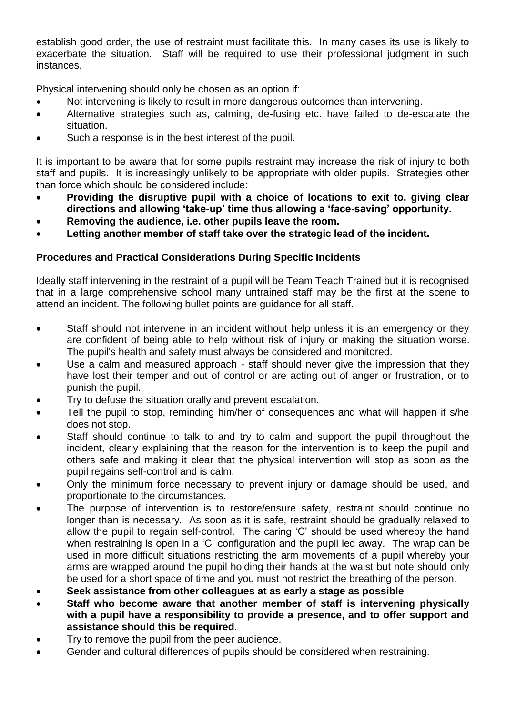establish good order, the use of restraint must facilitate this. In many cases its use is likely to exacerbate the situation. Staff will be required to use their professional judgment in such instances.

Physical intervening should only be chosen as an option if:

- Not intervening is likely to result in more dangerous outcomes than intervening.
- Alternative strategies such as, calming, de-fusing etc. have failed to de-escalate the situation.
- Such a response is in the best interest of the pupil.

It is important to be aware that for some pupils restraint may increase the risk of injury to both staff and pupils. It is increasingly unlikely to be appropriate with older pupils. Strategies other than force which should be considered include:

- **Providing the disruptive pupil with a choice of locations to exit to, giving clear directions and allowing 'take-up' time thus allowing a 'face-saving' opportunity.**
- **Removing the audience, i.e. other pupils leave the room.**
- **Letting another member of staff take over the strategic lead of the incident.**

#### **Procedures and Practical Considerations During Specific Incidents**

Ideally staff intervening in the restraint of a pupil will be Team Teach Trained but it is recognised that in a large comprehensive school many untrained staff may be the first at the scene to attend an incident. The following bullet points are guidance for all staff.

- Staff should not intervene in an incident without help unless it is an emergency or they are confident of being able to help without risk of injury or making the situation worse. The pupil's health and safety must always be considered and monitored.
- Use a calm and measured approach staff should never give the impression that they have lost their temper and out of control or are acting out of anger or frustration, or to punish the pupil.
- Try to defuse the situation orally and prevent escalation.
- Tell the pupil to stop, reminding him/her of consequences and what will happen if s/he does not stop.
- Staff should continue to talk to and try to calm and support the pupil throughout the incident, clearly explaining that the reason for the intervention is to keep the pupil and others safe and making it clear that the physical intervention will stop as soon as the pupil regains self-control and is calm.
- Only the minimum force necessary to prevent injury or damage should be used, and proportionate to the circumstances.
- The purpose of intervention is to restore/ensure safety, restraint should continue no longer than is necessary. As soon as it is safe, restraint should be gradually relaxed to allow the pupil to regain self-control. The caring 'C' should be used whereby the hand when restraining is open in a 'C' configuration and the pupil led away. The wrap can be used in more difficult situations restricting the arm movements of a pupil whereby your arms are wrapped around the pupil holding their hands at the waist but note should only be used for a short space of time and you must not restrict the breathing of the person.
- **Seek assistance from other colleagues at as early a stage as possible**
- **Staff who become aware that another member of staff is intervening physically with a pupil have a responsibility to provide a presence, and to offer support and assistance should this be required**.
- Try to remove the pupil from the peer audience.
- Gender and cultural differences of pupils should be considered when restraining.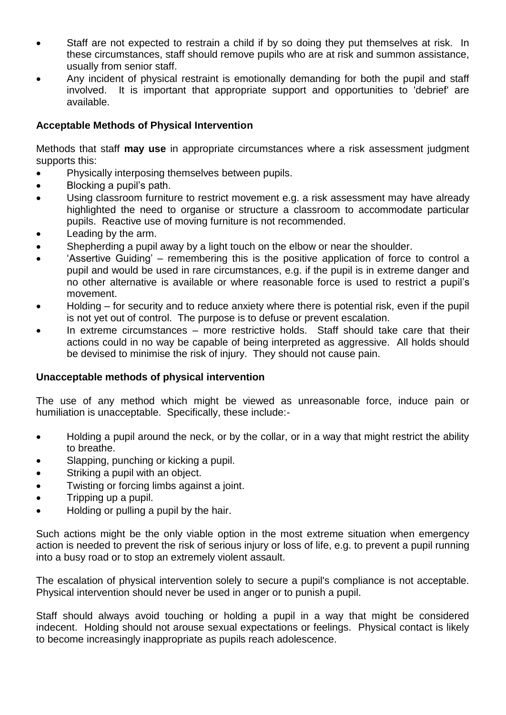- Staff are not expected to restrain a child if by so doing they put themselves at risk. In these circumstances, staff should remove pupils who are at risk and summon assistance, usually from senior staff.
- Any incident of physical restraint is emotionally demanding for both the pupil and staff involved. It is important that appropriate support and opportunities to 'debrief' are available.

#### **Acceptable Methods of Physical Intervention**

Methods that staff **may use** in appropriate circumstances where a risk assessment judgment supports this:

- Physically interposing themselves between pupils.
- Blocking a pupil's path.
- Using classroom furniture to restrict movement e.g. a risk assessment may have already highlighted the need to organise or structure a classroom to accommodate particular pupils. Reactive use of moving furniture is not recommended.
- Leading by the arm.
- Shepherding a pupil away by a light touch on the elbow or near the shoulder.
- 'Assertive Guiding' remembering this is the positive application of force to control a pupil and would be used in rare circumstances, e.g. if the pupil is in extreme danger and no other alternative is available or where reasonable force is used to restrict a pupil's movement.
- Holding for security and to reduce anxiety where there is potential risk, even if the pupil is not yet out of control. The purpose is to defuse or prevent escalation.
- In extreme circumstances more restrictive holds. Staff should take care that their actions could in no way be capable of being interpreted as aggressive. All holds should be devised to minimise the risk of injury. They should not cause pain.

#### **Unacceptable methods of physical intervention**

The use of any method which might be viewed as unreasonable force, induce pain or humiliation is unacceptable. Specifically, these include:-

- Holding a pupil around the neck, or by the collar, or in a way that might restrict the ability to breathe.
- Slapping, punching or kicking a pupil.
- Striking a pupil with an object.
- Twisting or forcing limbs against a joint.
- Tripping up a pupil.
- Holding or pulling a pupil by the hair.

Such actions might be the only viable option in the most extreme situation when emergency action is needed to prevent the risk of serious injury or loss of life, e.g. to prevent a pupil running into a busy road or to stop an extremely violent assault.

The escalation of physical intervention solely to secure a pupil's compliance is not acceptable. Physical intervention should never be used in anger or to punish a pupil.

Staff should always avoid touching or holding a pupil in a way that might be considered indecent. Holding should not arouse sexual expectations or feelings. Physical contact is likely to become increasingly inappropriate as pupils reach adolescence.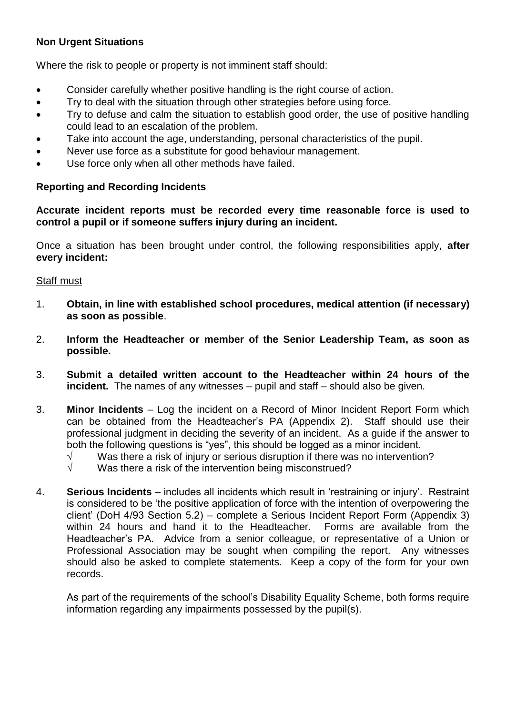#### **Non Urgent Situations**

Where the risk to people or property is not imminent staff should:

- Consider carefully whether positive handling is the right course of action.
- Try to deal with the situation through other strategies before using force.
- Try to defuse and calm the situation to establish good order, the use of positive handling could lead to an escalation of the problem.
- Take into account the age, understanding, personal characteristics of the pupil.
- Never use force as a substitute for good behaviour management.
- Use force only when all other methods have failed.

#### **Reporting and Recording Incidents**

**Accurate incident reports must be recorded every time reasonable force is used to control a pupil or if someone suffers injury during an incident.**

Once a situation has been brought under control, the following responsibilities apply, **after every incident:**

#### Staff must

- 1. **Obtain, in line with established school procedures, medical attention (if necessary) as soon as possible**.
- 2. **Inform the Headteacher or member of the Senior Leadership Team, as soon as possible.**
- 3. **Submit a detailed written account to the Headteacher within 24 hours of the incident.** The names of any witnesses – pupil and staff – should also be given.
- 3. **Minor Incidents** Log the incident on a Record of Minor Incident Report Form which can be obtained from the Headteacher's PA (Appendix 2). Staff should use their professional judgment in deciding the severity of an incident. As a guide if the answer to both the following questions is "yes", this should be logged as a minor incident.
	- $\sqrt{ }$  Was there a risk of injury or serious disruption if there was no intervention?
	- $\sqrt{ }$  Was there a risk of the intervention being misconstrued?
- 4. **Serious Incidents** includes all incidents which result in 'restraining or injury'. Restraint is considered to be 'the positive application of force with the intention of overpowering the client' (DoH 4/93 Section 5.2) – complete a Serious Incident Report Form (Appendix 3) within 24 hours and hand it to the Headteacher. Forms are available from the Headteacher's PA. Advice from a senior colleague, or representative of a Union or Professional Association may be sought when compiling the report. Any witnesses should also be asked to complete statements. Keep a copy of the form for your own records.

As part of the requirements of the school's Disability Equality Scheme, both forms require information regarding any impairments possessed by the pupil(s).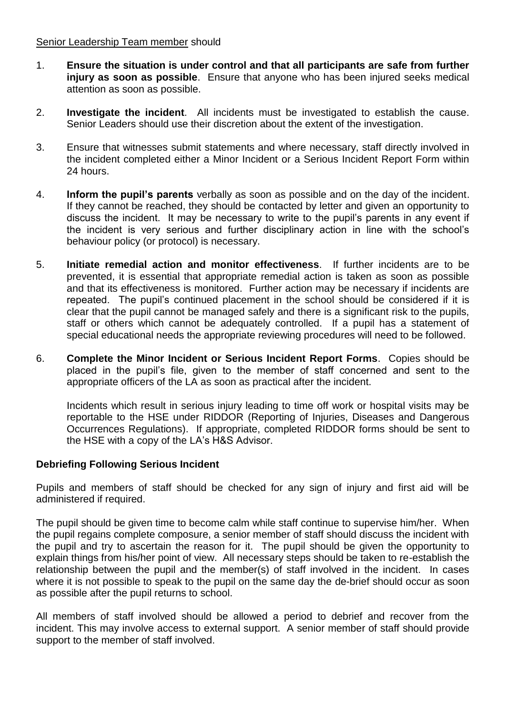#### Senior Leadership Team member should

- 1. **Ensure the situation is under control and that all participants are safe from further injury as soon as possible**. Ensure that anyone who has been injured seeks medical attention as soon as possible.
- 2. **Investigate the incident**. All incidents must be investigated to establish the cause. Senior Leaders should use their discretion about the extent of the investigation.
- 3. Ensure that witnesses submit statements and where necessary, staff directly involved in the incident completed either a Minor Incident or a Serious Incident Report Form within 24 hours.
- 4. **Inform the pupil's parents** verbally as soon as possible and on the day of the incident. If they cannot be reached, they should be contacted by letter and given an opportunity to discuss the incident. It may be necessary to write to the pupil's parents in any event if the incident is very serious and further disciplinary action in line with the school's behaviour policy (or protocol) is necessary.
- 5. **Initiate remedial action and monitor effectiveness**. If further incidents are to be prevented, it is essential that appropriate remedial action is taken as soon as possible and that its effectiveness is monitored. Further action may be necessary if incidents are repeated. The pupil's continued placement in the school should be considered if it is clear that the pupil cannot be managed safely and there is a significant risk to the pupils, staff or others which cannot be adequately controlled. If a pupil has a statement of special educational needs the appropriate reviewing procedures will need to be followed.
- 6. **Complete the Minor Incident or Serious Incident Report Forms**. Copies should be placed in the pupil's file, given to the member of staff concerned and sent to the appropriate officers of the LA as soon as practical after the incident.

Incidents which result in serious injury leading to time off work or hospital visits may be reportable to the HSE under RIDDOR (Reporting of Injuries, Diseases and Dangerous Occurrences Regulations). If appropriate, completed RIDDOR forms should be sent to the HSE with a copy of the LA's H&S Advisor.

#### **Debriefing Following Serious Incident**

Pupils and members of staff should be checked for any sign of injury and first aid will be administered if required.

The pupil should be given time to become calm while staff continue to supervise him/her. When the pupil regains complete composure, a senior member of staff should discuss the incident with the pupil and try to ascertain the reason for it. The pupil should be given the opportunity to explain things from his/her point of view. All necessary steps should be taken to re-establish the relationship between the pupil and the member(s) of staff involved in the incident. In cases where it is not possible to speak to the pupil on the same day the de-brief should occur as soon as possible after the pupil returns to school.

All members of staff involved should be allowed a period to debrief and recover from the incident. This may involve access to external support. A senior member of staff should provide support to the member of staff involved.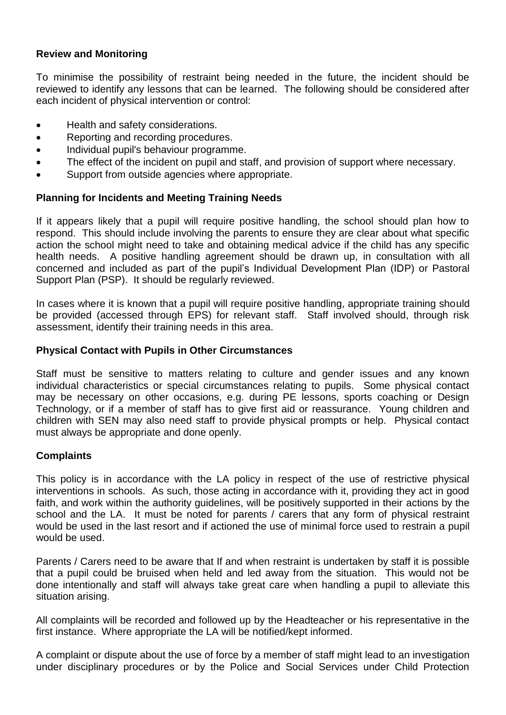#### **Review and Monitoring**

To minimise the possibility of restraint being needed in the future, the incident should be reviewed to identify any lessons that can be learned. The following should be considered after each incident of physical intervention or control:

- Health and safety considerations.
- Reporting and recording procedures.
- Individual pupil's behaviour programme.
- The effect of the incident on pupil and staff, and provision of support where necessary.
- Support from outside agencies where appropriate.

#### **Planning for Incidents and Meeting Training Needs**

If it appears likely that a pupil will require positive handling, the school should plan how to respond. This should include involving the parents to ensure they are clear about what specific action the school might need to take and obtaining medical advice if the child has any specific health needs. A positive handling agreement should be drawn up, in consultation with all concerned and included as part of the pupil's Individual Development Plan (IDP) or Pastoral Support Plan (PSP). It should be regularly reviewed.

In cases where it is known that a pupil will require positive handling, appropriate training should be provided (accessed through EPS) for relevant staff. Staff involved should, through risk assessment, identify their training needs in this area.

#### **Physical Contact with Pupils in Other Circumstances**

Staff must be sensitive to matters relating to culture and gender issues and any known individual characteristics or special circumstances relating to pupils. Some physical contact may be necessary on other occasions, e.g. during PE lessons, sports coaching or Design Technology, or if a member of staff has to give first aid or reassurance. Young children and children with SEN may also need staff to provide physical prompts or help. Physical contact must always be appropriate and done openly.

#### **Complaints**

This policy is in accordance with the LA policy in respect of the use of restrictive physical interventions in schools. As such, those acting in accordance with it, providing they act in good faith, and work within the authority guidelines, will be positively supported in their actions by the school and the LA. It must be noted for parents / carers that any form of physical restraint would be used in the last resort and if actioned the use of minimal force used to restrain a pupil would be used.

Parents / Carers need to be aware that If and when restraint is undertaken by staff it is possible that a pupil could be bruised when held and led away from the situation. This would not be done intentionally and staff will always take great care when handling a pupil to alleviate this situation arising.

All complaints will be recorded and followed up by the Headteacher or his representative in the first instance. Where appropriate the LA will be notified/kept informed.

A complaint or dispute about the use of force by a member of staff might lead to an investigation under disciplinary procedures or by the Police and Social Services under Child Protection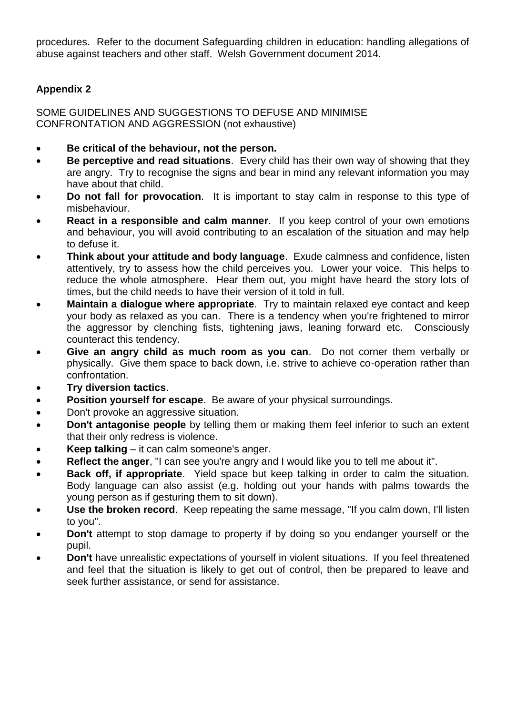procedures. Refer to the document Safeguarding children in education: handling allegations of abuse against teachers and other staff. Welsh Government document 2014.

### **Appendix 2**

SOME GUIDELINES AND SUGGESTIONS TO DEFUSE AND MINIMISE CONFRONTATION AND AGGRESSION (not exhaustive)

- **Be critical of the behaviour, not the person.**
- **Be perceptive and read situations**. Every child has their own way of showing that they are angry. Try to recognise the signs and bear in mind any relevant information you may have about that child.
- **Do not fall for provocation**. It is important to stay calm in response to this type of misbehaviour.
- **React in a responsible and calm manner**. If you keep control of your own emotions and behaviour, you will avoid contributing to an escalation of the situation and may help to defuse it.
- **Think about your attitude and body language**. Exude calmness and confidence, listen attentively, try to assess how the child perceives you. Lower your voice. This helps to reduce the whole atmosphere. Hear them out, you might have heard the story lots of times, but the child needs to have their version of it told in full.
- **Maintain a dialogue where appropriate**. Try to maintain relaxed eye contact and keep your body as relaxed as you can. There is a tendency when you're frightened to mirror the aggressor by clenching fists, tightening jaws, leaning forward etc. Consciously counteract this tendency.
- **Give an angry child as much room as you can**. Do not corner them verbally or physically. Give them space to back down, i.e. strive to achieve co-operation rather than confrontation.
- **Try diversion tactics**.
- **Position yourself for escape**. Be aware of your physical surroundings.
- Don't provoke an aggressive situation.
- **•** Don't antagonise people by telling them or making them feel inferior to such an extent that their only redress is violence.
- **Keep talking** it can calm someone's anger.
- **Reflect the anger**, "I can see you're angry and I would like you to tell me about it".
- **Back off, if appropriate**. Yield space but keep talking in order to calm the situation. Body language can also assist (e.g. holding out your hands with palms towards the young person as if gesturing them to sit down).
- **Use the broken record**. Keep repeating the same message, "If you calm down, I'll listen to you".
- **Don't** attempt to stop damage to property if by doing so you endanger yourself or the pupil.
- **Don't** have unrealistic expectations of yourself in violent situations. If you feel threatened and feel that the situation is likely to get out of control, then be prepared to leave and seek further assistance, or send for assistance.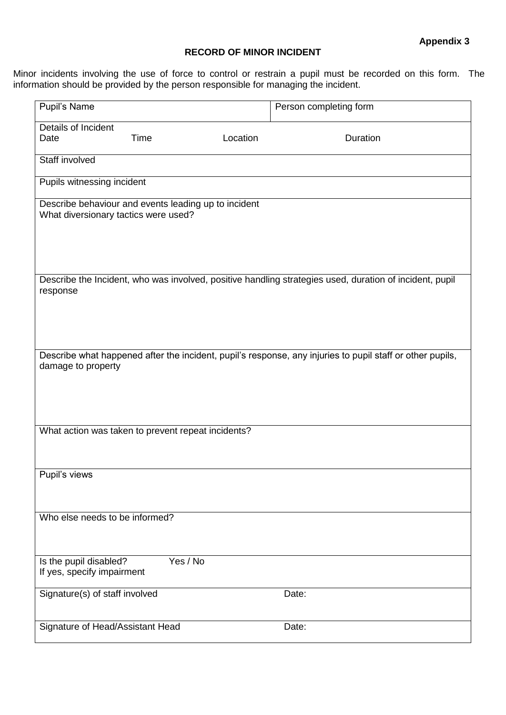#### **RECORD OF MINOR INCIDENT**

Minor incidents involving the use of force to control or restrain a pupil must be recorded on this form. The information should be provided by the person responsible for managing the incident.

| Pupil's Name                                         | Person completing form |          |                                                                                                           |  |  |
|------------------------------------------------------|------------------------|----------|-----------------------------------------------------------------------------------------------------------|--|--|
| Details of Incident                                  |                        |          |                                                                                                           |  |  |
| Date                                                 | <b>Time</b>            | Location | Duration                                                                                                  |  |  |
| Staff involved                                       |                        |          |                                                                                                           |  |  |
|                                                      |                        |          |                                                                                                           |  |  |
| Pupils witnessing incident                           |                        |          |                                                                                                           |  |  |
| Describe behaviour and events leading up to incident |                        |          |                                                                                                           |  |  |
| What diversionary tactics were used?                 |                        |          |                                                                                                           |  |  |
|                                                      |                        |          |                                                                                                           |  |  |
|                                                      |                        |          |                                                                                                           |  |  |
|                                                      |                        |          |                                                                                                           |  |  |
| response                                             |                        |          | Describe the Incident, who was involved, positive handling strategies used, duration of incident, pupil   |  |  |
|                                                      |                        |          |                                                                                                           |  |  |
|                                                      |                        |          |                                                                                                           |  |  |
|                                                      |                        |          |                                                                                                           |  |  |
|                                                      |                        |          |                                                                                                           |  |  |
| damage to property                                   |                        |          | Describe what happened after the incident, pupil's response, any injuries to pupil staff or other pupils, |  |  |
|                                                      |                        |          |                                                                                                           |  |  |
|                                                      |                        |          |                                                                                                           |  |  |
|                                                      |                        |          |                                                                                                           |  |  |
| What action was taken to prevent repeat incidents?   |                        |          |                                                                                                           |  |  |
|                                                      |                        |          |                                                                                                           |  |  |
|                                                      |                        |          |                                                                                                           |  |  |
| Pupil's views                                        |                        |          |                                                                                                           |  |  |
|                                                      |                        |          |                                                                                                           |  |  |
|                                                      |                        |          |                                                                                                           |  |  |
| Who else needs to be informed?                       |                        |          |                                                                                                           |  |  |
|                                                      |                        |          |                                                                                                           |  |  |
|                                                      | Yes / No               |          |                                                                                                           |  |  |
| Is the pupil disabled?<br>If yes, specify impairment |                        |          |                                                                                                           |  |  |
|                                                      |                        |          |                                                                                                           |  |  |
| Signature(s) of staff involved                       |                        |          | Date:                                                                                                     |  |  |
|                                                      |                        |          |                                                                                                           |  |  |
| Signature of Head/Assistant Head                     |                        |          | Date:                                                                                                     |  |  |
|                                                      |                        |          |                                                                                                           |  |  |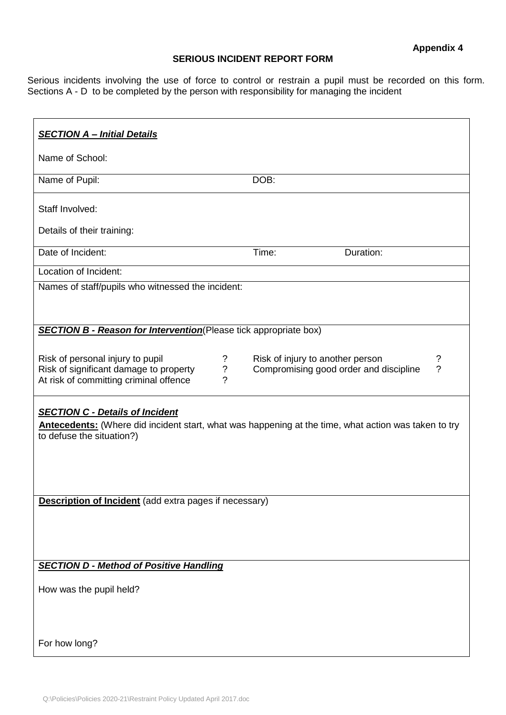#### **SERIOUS INCIDENT REPORT FORM**

Serious incidents involving the use of force to control or restrain a pupil must be recorded on this form. Sections A - D to be completed by the person with responsibility for managing the incident

| <b>SECTION A - Initial Details</b>                                                                                                                                                 |       |                                                                            |                     |
|------------------------------------------------------------------------------------------------------------------------------------------------------------------------------------|-------|----------------------------------------------------------------------------|---------------------|
| Name of School:                                                                                                                                                                    |       |                                                                            |                     |
| Name of Pupil:                                                                                                                                                                     | DOB:  |                                                                            |                     |
| Staff Involved:                                                                                                                                                                    |       |                                                                            |                     |
| Details of their training:                                                                                                                                                         |       |                                                                            |                     |
| Date of Incident:                                                                                                                                                                  | Time: | Duration:                                                                  |                     |
| Location of Incident:                                                                                                                                                              |       |                                                                            |                     |
| Names of staff/pupils who witnessed the incident:                                                                                                                                  |       |                                                                            |                     |
| <b>SECTION B - Reason for Intervention</b> (Please tick appropriate box)                                                                                                           |       |                                                                            |                     |
| Risk of personal injury to pupil<br>?<br>$\boldsymbol{\mathcal{P}}$<br>Risk of significant damage to property<br>?<br>At risk of committing criminal offence                       |       | Risk of injury to another person<br>Compromising good order and discipline | ?<br>$\overline{?}$ |
| <b>SECTION C - Details of Incident</b><br><b>Antecedents:</b> (Where did incident start, what was happening at the time, what action was taken to try<br>to defuse the situation?) |       |                                                                            |                     |
| Description of Incident (add extra pages if necessary)                                                                                                                             |       |                                                                            |                     |
| <b>SECTION D - Method of Positive Handling</b>                                                                                                                                     |       |                                                                            |                     |
| How was the pupil held?                                                                                                                                                            |       |                                                                            |                     |
| For how long?                                                                                                                                                                      |       |                                                                            |                     |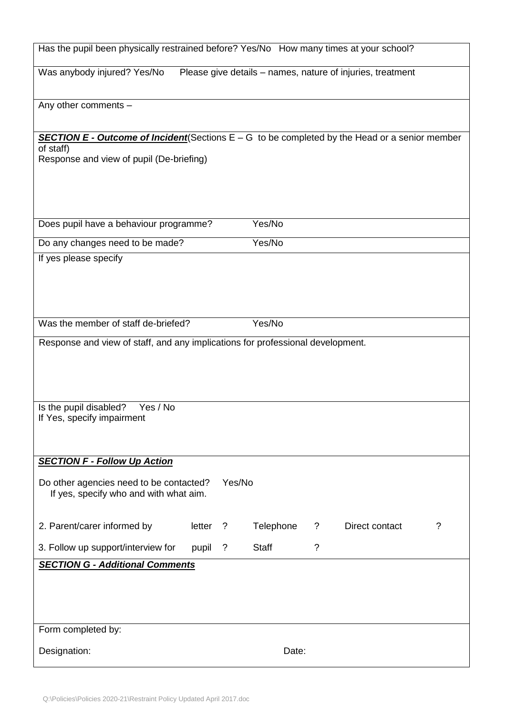| Has the pupil been physically restrained before? Yes/No How many times at your school?                  |        |           |              |          |                                                            |             |
|---------------------------------------------------------------------------------------------------------|--------|-----------|--------------|----------|------------------------------------------------------------|-------------|
| Was anybody injured? Yes/No                                                                             |        |           |              |          | Please give details - names, nature of injuries, treatment |             |
| Any other comments -                                                                                    |        |           |              |          |                                                            |             |
| <b>SECTION E - Outcome of Incident</b> (Sections $E - G$ to be completed by the Head or a senior member |        |           |              |          |                                                            |             |
| of staff)<br>Response and view of pupil (De-briefing)                                                   |        |           |              |          |                                                            |             |
|                                                                                                         |        |           |              |          |                                                            |             |
|                                                                                                         |        |           |              |          |                                                            |             |
|                                                                                                         |        |           |              |          |                                                            |             |
| Does pupil have a behaviour programme?                                                                  |        |           | Yes/No       |          |                                                            |             |
| Do any changes need to be made?                                                                         |        |           | Yes/No       |          |                                                            |             |
| If yes please specify                                                                                   |        |           |              |          |                                                            |             |
|                                                                                                         |        |           |              |          |                                                            |             |
|                                                                                                         |        |           |              |          |                                                            |             |
|                                                                                                         |        |           |              |          |                                                            |             |
| Was the member of staff de-briefed?                                                                     |        |           | Yes/No       |          |                                                            |             |
| Response and view of staff, and any implications for professional development.                          |        |           |              |          |                                                            |             |
|                                                                                                         |        |           |              |          |                                                            |             |
|                                                                                                         |        |           |              |          |                                                            |             |
|                                                                                                         |        |           |              |          |                                                            |             |
| Is the pupil disabled?<br>Yes / No<br>If Yes, specify impairment                                        |        |           |              |          |                                                            |             |
|                                                                                                         |        |           |              |          |                                                            |             |
|                                                                                                         |        |           |              |          |                                                            |             |
| <b>SECTION F - Follow Up Action</b>                                                                     |        |           |              |          |                                                            |             |
| Do other agencies need to be contacted?                                                                 |        | Yes/No    |              |          |                                                            |             |
| If yes, specify who and with what aim.                                                                  |        |           |              |          |                                                            |             |
|                                                                                                         |        |           |              |          |                                                            |             |
| 2. Parent/carer informed by                                                                             | letter | $\cdot$ ? | Telephone    | ?        | Direct contact                                             | $\tilde{?}$ |
| 3. Follow up support/interview for                                                                      | pupil  | $\cdot$ ? | <b>Staff</b> | $\gamma$ |                                                            |             |
| <b>SECTION G - Additional Comments</b>                                                                  |        |           |              |          |                                                            |             |
|                                                                                                         |        |           |              |          |                                                            |             |
|                                                                                                         |        |           |              |          |                                                            |             |
|                                                                                                         |        |           |              |          |                                                            |             |
| Form completed by:                                                                                      |        |           |              |          |                                                            |             |
| Designation:                                                                                            |        |           | Date:        |          |                                                            |             |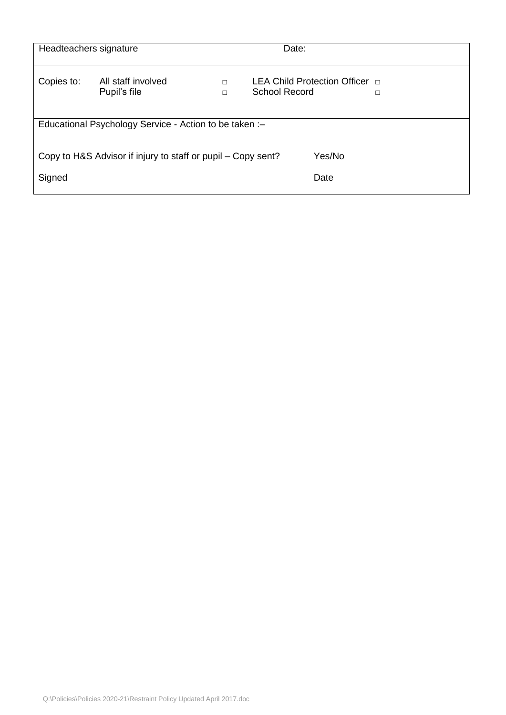| Headteachers signature |                                                              |                  | Date:                                                         |   |
|------------------------|--------------------------------------------------------------|------------------|---------------------------------------------------------------|---|
| Copies to:             | All staff involved<br>Pupil's file                           | $\Box$<br>$\Box$ | LEA Child Protection Officer <b>D</b><br><b>School Record</b> | □ |
|                        | Educational Psychology Service - Action to be taken :-       |                  |                                                               |   |
|                        | Copy to H&S Advisor if injury to staff or pupil – Copy sent? |                  | Yes/No                                                        |   |
| Signed                 |                                                              |                  | Date                                                          |   |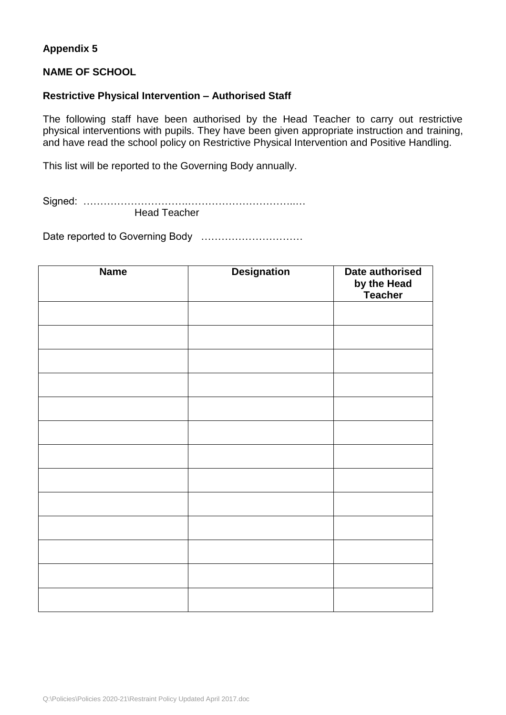#### **Appendix 5**

#### **NAME OF SCHOOL**

#### **Restrictive Physical Intervention – Authorised Staff**

The following staff have been authorised by the Head Teacher to carry out restrictive physical interventions with pupils. They have been given appropriate instruction and training, and have read the school policy on Restrictive Physical Intervention and Positive Handling.

This list will be reported to the Governing Body annually.

Signed: ………………………….…………………………..…

Head Teacher

Date reported to Governing Body …………………………

| <b>Name</b> | <b>Designation</b> | Date authorised<br>by the Head<br>Teacher |
|-------------|--------------------|-------------------------------------------|
|             |                    |                                           |
|             |                    |                                           |
|             |                    |                                           |
|             |                    |                                           |
|             |                    |                                           |
|             |                    |                                           |
|             |                    |                                           |
|             |                    |                                           |
|             |                    |                                           |
|             |                    |                                           |
|             |                    |                                           |
|             |                    |                                           |
|             |                    |                                           |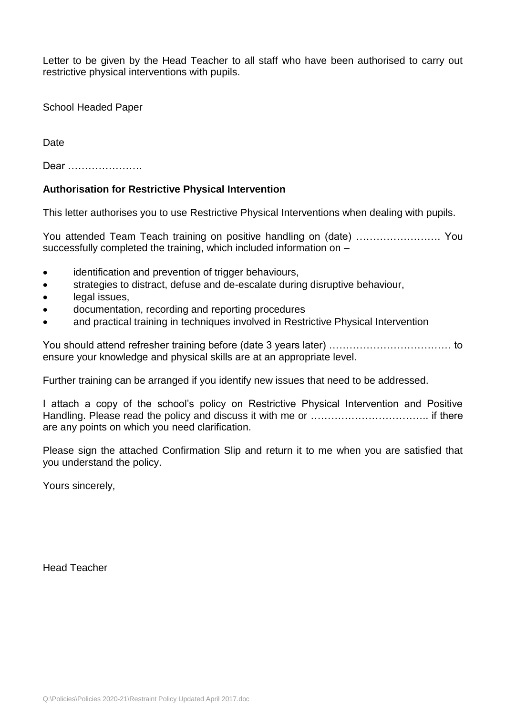Letter to be given by the Head Teacher to all staff who have been authorised to carry out restrictive physical interventions with pupils.

School Headed Paper

Date

Dear ………………….

#### **Authorisation for Restrictive Physical Intervention**

This letter authorises you to use Restrictive Physical Interventions when dealing with pupils.

You attended Team Teach training on positive handling on (date) ……………………. You successfully completed the training, which included information on –

- identification and prevention of trigger behaviours,
- strategies to distract, defuse and de-escalate during disruptive behaviour,
- legal issues.
- documentation, recording and reporting procedures
- and practical training in techniques involved in Restrictive Physical Intervention

You should attend refresher training before (date 3 years later) ……………………………… to ensure your knowledge and physical skills are at an appropriate level.

Further training can be arranged if you identify new issues that need to be addressed.

I attach a copy of the school's policy on Restrictive Physical Intervention and Positive Handling. Please read the policy and discuss it with me or …………………………….. if there are any points on which you need clarification.

Please sign the attached Confirmation Slip and return it to me when you are satisfied that you understand the policy.

Yours sincerely,

Head Teacher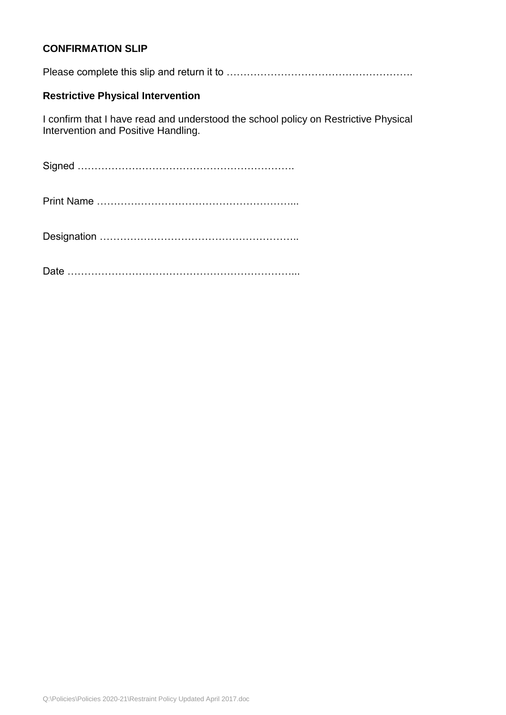#### **CONFIRMATION SLIP**

Please complete this slip and return it to ……………………………………………….

#### **Restrictive Physical Intervention**

I confirm that I have read and understood the school policy on Restrictive Physical Intervention and Positive Handling.

Signed ……………………………………………………….

Print Name …………………………………………………...

Designation …………………………………………………..

Date …………………………………………………………...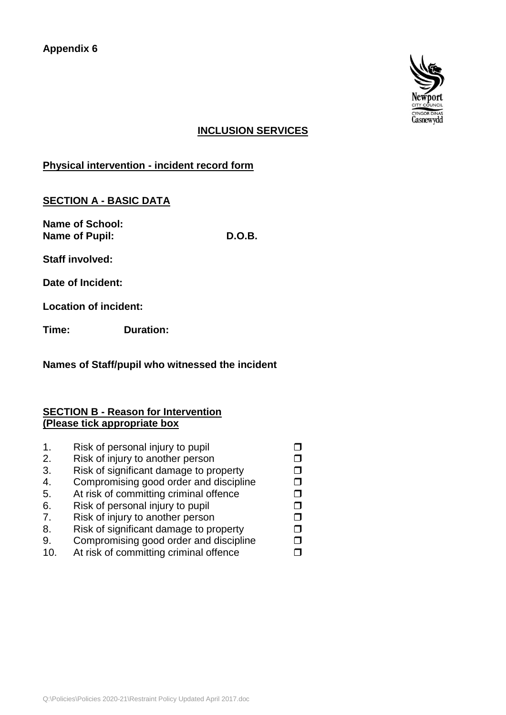

#### **INCLUSION SERVICES**

**Physical intervention - incident record form**

### **SECTION A - BASIC DATA**

**Name of School: Name of Pupil: D.O.B.**

**Staff involved:**

**Date of Incident:**

**Location of incident:**

**Time: Duration:** 

#### **Names of Staff/pupil who witnessed the incident**

#### **SECTION B - Reason for Intervention (Please tick appropriate box**

|    | Risk of personal injury to pupil       |  |
|----|----------------------------------------|--|
| 2. | Risk of injury to another person       |  |
| 3. | Risk of significant damage to property |  |
| 4. | Compromising good order and discipline |  |
| 5. | At risk of committing criminal offence |  |
| 6. | Risk of personal injury to pupil       |  |
| 7. | Risk of injury to another person       |  |
| 8. | Risk of significant damage to property |  |
| 9. | Compromising good order and discipline |  |
| 10 | At risk of committing criminal offence |  |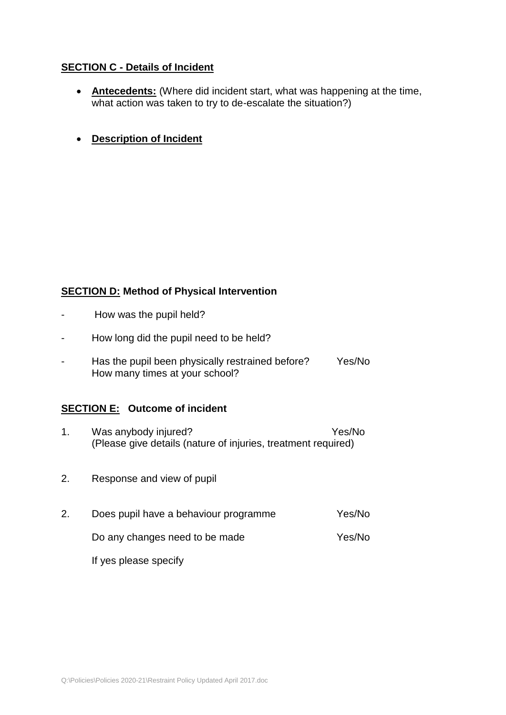#### **SECTION C - Details of Incident**

- **Antecedents:** (Where did incident start, what was happening at the time, what action was taken to try to de-escalate the situation?)
- **Description of Incident**

#### **SECTION D: Method of Physical Intervention**

- How was the pupil held?
- How long did the pupil need to be held?
- Has the pupil been physically restrained before? Yes/No How many times at your school?

#### **SECTION E: Outcome of incident**

- 1. Was anybody injured? Yes/No (Please give details (nature of injuries, treatment required)
- 2. Response and view of pupil
- 2. Does pupil have a behaviour programme Yes/No

Do any changes need to be made Yes/No

If yes please specify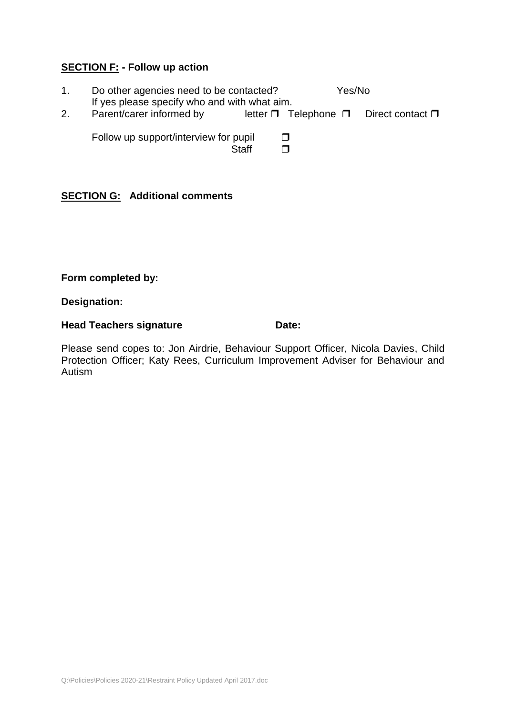#### **SECTION F: - Follow up action**

| Do other agencies need to be contacted?                                  |       |   | Yes/No |                                                      |
|--------------------------------------------------------------------------|-------|---|--------|------------------------------------------------------|
| If yes please specify who and with what aim.<br>Parent/carer informed by |       |   |        | letter $\Box$ Telephone $\Box$ Direct contact $\Box$ |
| Follow up support/interview for pupil                                    |       | П |        |                                                      |
|                                                                          | Staff |   |        |                                                      |

#### **SECTION G: Additional comments**

#### **Form completed by:**

#### **Designation:**

#### **Head Teachers signature <b>Date:** Date:

Please send copes to: Jon Airdrie, Behaviour Support Officer, Nicola Davies, Child Protection Officer; Katy Rees, Curriculum Improvement Adviser for Behaviour and Autism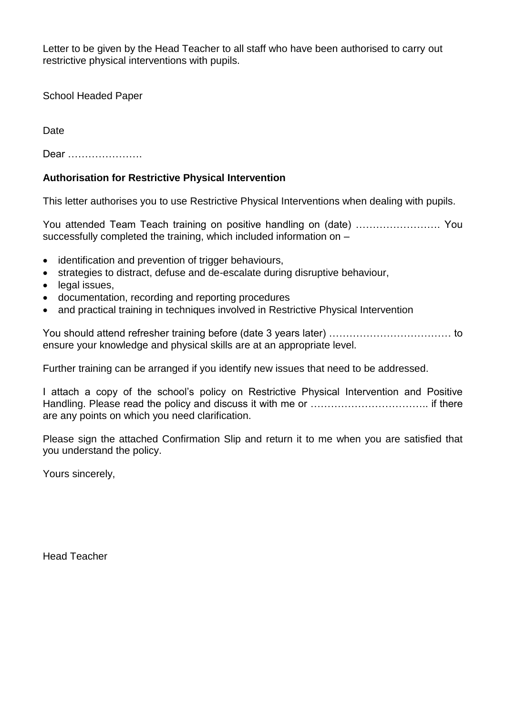Letter to be given by the Head Teacher to all staff who have been authorised to carry out restrictive physical interventions with pupils.

School Headed Paper

**Date** 

Dear ………………….

#### **Authorisation for Restrictive Physical Intervention**

This letter authorises you to use Restrictive Physical Interventions when dealing with pupils.

You attended Team Teach training on positive handling on (date) ……………………. You successfully completed the training, which included information on –

- identification and prevention of trigger behaviours,
- strategies to distract, defuse and de-escalate during disruptive behaviour,
- legal issues.
- documentation, recording and reporting procedures
- and practical training in techniques involved in Restrictive Physical Intervention

You should attend refresher training before (date 3 years later) ……………………………… to ensure your knowledge and physical skills are at an appropriate level.

Further training can be arranged if you identify new issues that need to be addressed.

I attach a copy of the school's policy on Restrictive Physical Intervention and Positive Handling. Please read the policy and discuss it with me or …………………………….. if there are any points on which you need clarification.

Please sign the attached Confirmation Slip and return it to me when you are satisfied that you understand the policy.

Yours sincerely,

Head Teacher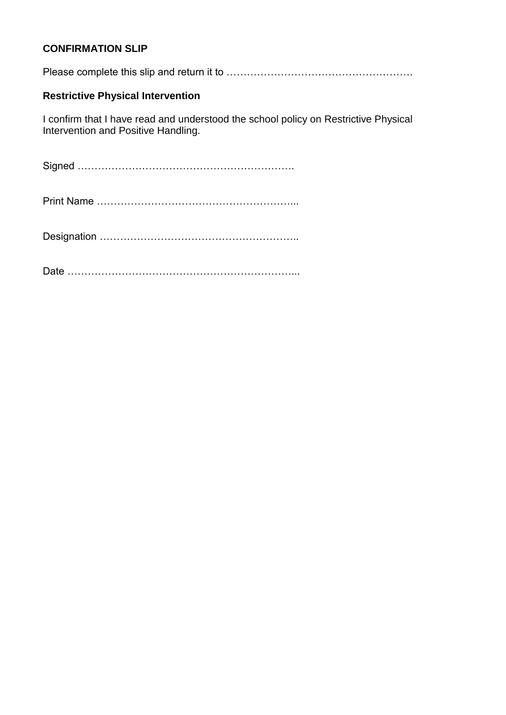#### **CONFIRMATION SLIP**

Please complete this slip and return it to ……………………………………………….

#### **Restrictive Physical Intervention**

I confirm that I have read and understood the school policy on Restrictive Physical Intervention and Positive Handling.

Signed ……………………………………………………….

Print Name …………………………………………………...

Designation …………………………………………………..

Date …………………………………………………………...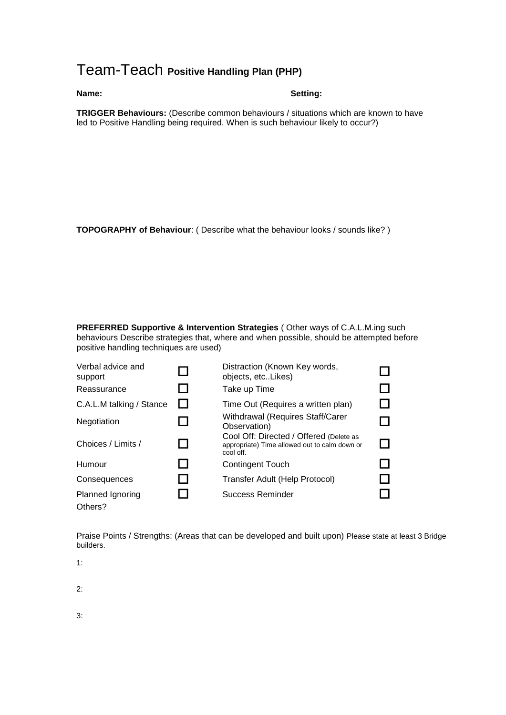### Team-Teach **Positive Handling Plan (PHP)**

#### **Name:** Setting:

**TRIGGER Behaviours:** (Describe common behaviours / situations which are known to have led to Positive Handling being required. When is such behaviour likely to occur?)

**TOPOGRAPHY of Behaviour**: ( Describe what the behaviour looks / sounds like? )

**PREFERRED Supportive & Intervention Strategies** ( Other ways of C.A.L.M.ing such behaviours Describe strategies that, where and when possible, should be attempted before positive handling techniques are used)

| Verbal advice and<br>support | Distraction (Known Key words,<br>objects, etcLikes)                                                   |  |
|------------------------------|-------------------------------------------------------------------------------------------------------|--|
| Reassurance                  | Take up Time                                                                                          |  |
| C.A.L.M talking / Stance     | Time Out (Requires a written plan)                                                                    |  |
| Negotiation                  | Withdrawal (Requires Staff/Carer<br>Observation)                                                      |  |
| Choices / Limits /           | Cool Off: Directed / Offered (Delete as<br>appropriate) Time allowed out to calm down or<br>cool off. |  |
| Humour                       | Contingent Touch                                                                                      |  |
| Consequences                 | Transfer Adult (Help Protocol)                                                                        |  |
| Planned Ignoring<br>Others?  | Success Reminder                                                                                      |  |

Praise Points / Strengths: (Areas that can be developed and built upon) Please state at least 3 Bridge builders.

1:

2:

3: